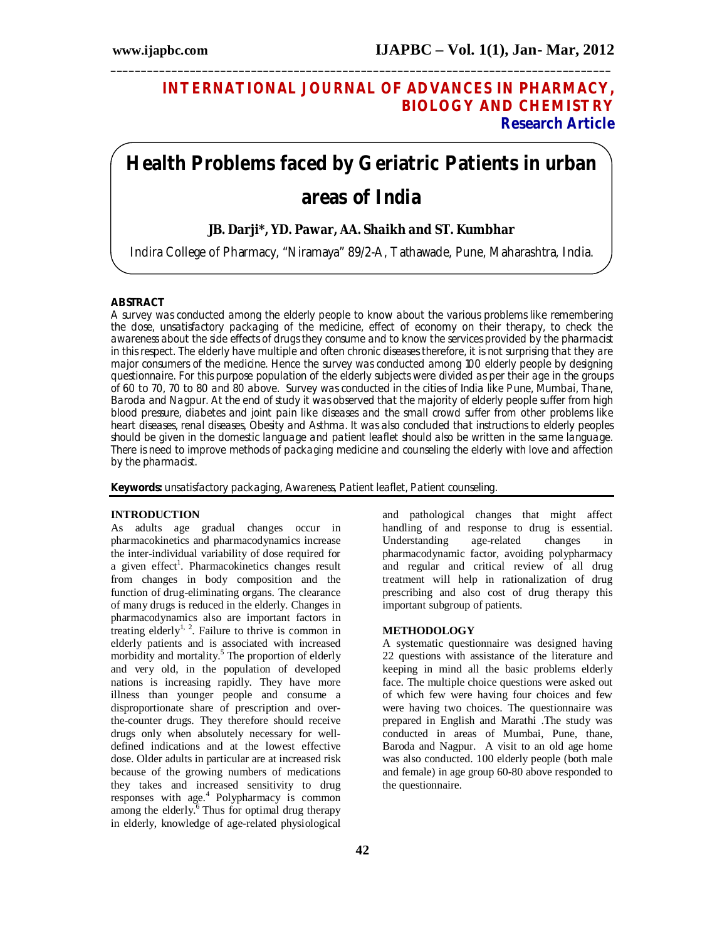## **INTERNATIONAL JOURNAL OF ADVANCES IN PHARMACY, BIOLOGY AND CHEMISTRY Research Article**

# **Health Problems faced by Geriatric Patients in urban areas of India**

**\_\_\_\_\_\_\_\_\_\_\_\_\_\_\_\_\_\_\_\_\_\_\_\_\_\_\_\_\_\_\_\_\_\_\_\_\_\_\_\_\_\_\_\_\_\_\_\_\_\_\_\_\_\_\_\_\_\_\_\_\_\_\_\_\_\_\_\_\_\_\_\_\_\_\_\_\_\_\_\_\_\_**

### **JB. Darji\*, YD. Pawar, AA. Shaikh and ST. Kumbhar**

Indira College of Pharmacy, "Niramaya" 89/2-A, Tathawade, Pune, Maharashtra, India.

#### **ABSTRACT**

A survey was conducted among the elderly people to know about the various problems like remembering the dose, unsatisfactory packaging of the medicine, effect of economy on their therapy, to check the awareness about the side effects of drugs they consume and to know the services provided by the pharmacist in this respect. The elderly have multiple and often chronic diseases therefore, it is not surprising that they are major consumers of the medicine. Hence the survey was conducted among 100 elderly people by designing questionnaire. For this purpose population of the elderly subjects were divided as per their age in the groups of 60 to 70, 70 to 80 and 80 above. Survey was conducted in the cities of India like Pune, Mumbai, Thane, Baroda and Nagpur. At the end of study it was observed that the majority of elderly people suffer from high blood pressure, diabetes and joint pain like diseases and the small crowd suffer from other problems like heart diseases, renal diseases, Obesity and Asthma. It was also concluded that instructions to elderly peoples should be given in the domestic language and patient leaflet should also be written in the same language. There is need to improve methods of packaging medicine and counseling the elderly with love and affection by the pharmacist.

**Keywords:** unsatisfactory packaging, Awareness, Patient leaflet, Patient counseling.

#### **INTRODUCTION**

As adults age gradual changes occur in pharmacokinetics and pharmacodynamics increase the inter-individual variability of dose required for a given effect<sup>1</sup>. Pharmacokinetics changes result from changes in body composition and the function of drug-eliminating organs. The clearance of many drugs is reduced in the elderly. Changes in pharmacodynamics also are important factors in treating elderly<sup>1, 2</sup>. Failure to thrive is common in elderly patients and is associated with increased morbidity and mortality. <sup>5</sup> The proportion of elderly and very old, in the population of developed nations is increasing rapidly. They have more illness than younger people and consume a disproportionate share of prescription and overthe-counter drugs. They therefore should receive drugs only when absolutely necessary for welldefined indications and at the lowest effective dose. Older adults in particular are at increased risk because of the growing numbers of medications they takes and increased sensitivity to drug responses with age.<sup>4</sup> Polypharmacy is common among the elderly.<sup>6</sup> Thus for optimal drug therapy in elderly, knowledge of age-related physiological

and pathological changes that might affect handling of and response to drug is essential. Understanding age-related changes in pharmacodynamic factor, avoiding polypharmacy and regular and critical review of all drug treatment will help in rationalization of drug prescribing and also cost of drug therapy this important subgroup of patients.

#### **METHODOLOGY**

A systematic questionnaire was designed having 22 questions with assistance of the literature and keeping in mind all the basic problems elderly face. The multiple choice questions were asked out of which few were having four choices and few were having two choices. The questionnaire was prepared in English and Marathi .The study was conducted in areas of Mumbai, Pune, thane, Baroda and Nagpur. A visit to an old age home was also conducted. 100 elderly people (both male and female) in age group 60-80 above responded to the questionnaire.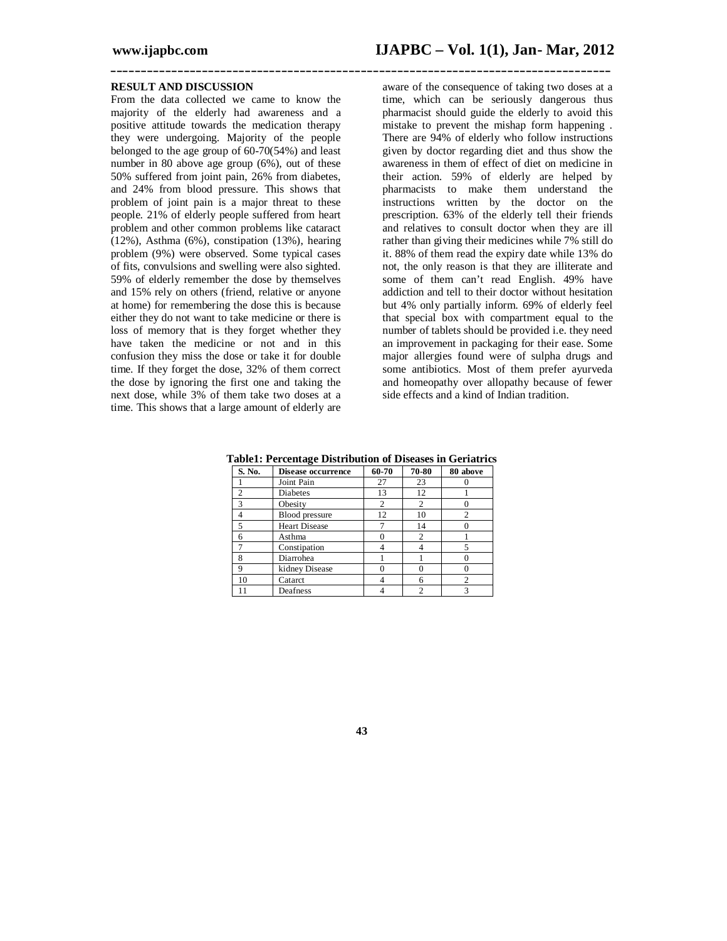#### **RESULT AND DISCUSSION**

From the data collected we came to know the majority of the elderly had awareness and a positive attitude towards the medication therapy they were undergoing. Majority of the people belonged to the age group of 60-70(54%) and least number in 80 above age group (6%), out of these 50% suffered from joint pain, 26% from diabetes, and 24% from blood pressure. This shows that problem of joint pain is a major threat to these people. 21% of elderly people suffered from heart problem and other common problems like cataract (12%), Asthma (6%), constipation (13%), hearing problem (9%) were observed. Some typical cases of fits, convulsions and swelling were also sighted. 59% of elderly remember the dose by themselves and 15% rely on others (friend, relative or anyone at home) for remembering the dose this is because either they do not want to take medicine or there is loss of memory that is they forget whether they have taken the medicine or not and in this confusion they miss the dose or take it for double time. If they forget the dose, 32% of them correct the dose by ignoring the first one and taking the next dose, while 3% of them take two doses at a time. This shows that a large amount of elderly are

aware of the consequence of taking two doses at a time, which can be seriously dangerous thus pharmacist should guide the elderly to avoid this mistake to prevent the mishap form happening . There are 94% of elderly who follow instructions given by doctor regarding diet and thus show the awareness in them of effect of diet on medicine in their action. 59% of elderly are helped by pharmacists to make them understand the instructions written by the doctor on the prescription. 63% of the elderly tell their friends and relatives to consult doctor when they are ill rather than giving their medicines while 7% still do it. 88% of them read the expiry date while 13% do not, the only reason is that they are illiterate and some of them can't read English. 49% have addiction and tell to their doctor without hesitation but 4% only partially inform. 69% of elderly feel that special box with compartment equal to the number of tablets should be provided i.e. they need an improvement in packaging for their ease. Some major allergies found were of sulpha drugs and some antibiotics. Most of them prefer ayurveda and homeopathy over allopathy because of fewer side effects and a kind of Indian tradition.

**Table1: Percentage Distribution of Diseases in Geriatrics**

**\_\_\_\_\_\_\_\_\_\_\_\_\_\_\_\_\_\_\_\_\_\_\_\_\_\_\_\_\_\_\_\_\_\_\_\_\_\_\_\_\_\_\_\_\_\_\_\_\_\_\_\_\_\_\_\_\_\_\_\_\_\_\_\_\_\_\_\_\_\_\_\_\_\_\_\_\_\_\_\_\_\_**

| S. No. | Disease occurrence    | 60-70 | 70-80          | 80 above |
|--------|-----------------------|-------|----------------|----------|
|        | Joint Pain            | 27    | 23             |          |
|        | <b>Diabetes</b>       | 13    | 12             |          |
|        | Obesity               |       | 2              |          |
|        | <b>Blood</b> pressure | 12    | 10             |          |
|        | <b>Heart Disease</b>  |       | 14             |          |
| 6      | Asthma                |       | $\overline{c}$ |          |
|        | Constipation          |       |                |          |
|        | Diarrohea             |       |                |          |
| 9      | kidney Disease        |       |                |          |
| 10     | Catarct               |       | 6              |          |
| 11     | Deafness              |       | $\overline{c}$ |          |

**43**